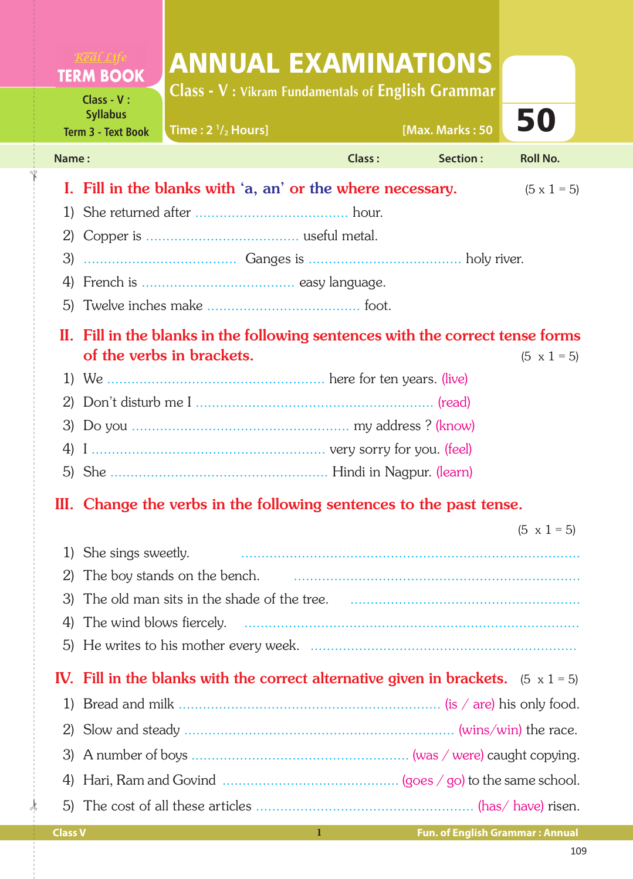| Class - V: Vikram Fundamentals of English Grammar<br>Class - V:<br><b>Syllabus</b><br>50<br>[Max. Marks: 50<br>Time: $2 \frac{1}{2}$ Hours]<br><b>Term 3 - Text Book</b><br><b>Class:</b><br>Section:<br><b>Roll No.</b><br>Name:<br>I. Fill in the blanks with 'a, an' or the where necessary.<br>$(5 \times 1 = 5)$<br>1)<br>2)<br>3)<br>II. Fill in the blanks in the following sentences with the correct tense forms<br>of the verbs in brackets.<br>$(5 \times 1 = 5)$<br>III. Change the verbs in the following sentences to the past tense.<br>$(5 \times 1 = 5)$<br>She sings sweetly.<br>$\mathbf{I}$<br>The boy stands on the bench.<br>2)<br>3)<br>The wind blows fiercely.<br>4)<br>5)<br>IV. Fill in the blanks with the correct alternative given in brackets. $(5 \times 1 = 5)$<br>1)<br>2)<br>3)<br>4)<br>5) |  | <b>TERM BOOK</b> | <b>ANNUAL EXAMINATIONS</b> |  |  |  |  |  |
|--------------------------------------------------------------------------------------------------------------------------------------------------------------------------------------------------------------------------------------------------------------------------------------------------------------------------------------------------------------------------------------------------------------------------------------------------------------------------------------------------------------------------------------------------------------------------------------------------------------------------------------------------------------------------------------------------------------------------------------------------------------------------------------------------------------------------------|--|------------------|----------------------------|--|--|--|--|--|
|                                                                                                                                                                                                                                                                                                                                                                                                                                                                                                                                                                                                                                                                                                                                                                                                                                |  |                  |                            |  |  |  |  |  |
|                                                                                                                                                                                                                                                                                                                                                                                                                                                                                                                                                                                                                                                                                                                                                                                                                                |  |                  |                            |  |  |  |  |  |
|                                                                                                                                                                                                                                                                                                                                                                                                                                                                                                                                                                                                                                                                                                                                                                                                                                |  |                  |                            |  |  |  |  |  |
|                                                                                                                                                                                                                                                                                                                                                                                                                                                                                                                                                                                                                                                                                                                                                                                                                                |  |                  |                            |  |  |  |  |  |
|                                                                                                                                                                                                                                                                                                                                                                                                                                                                                                                                                                                                                                                                                                                                                                                                                                |  |                  |                            |  |  |  |  |  |
|                                                                                                                                                                                                                                                                                                                                                                                                                                                                                                                                                                                                                                                                                                                                                                                                                                |  |                  |                            |  |  |  |  |  |
|                                                                                                                                                                                                                                                                                                                                                                                                                                                                                                                                                                                                                                                                                                                                                                                                                                |  |                  |                            |  |  |  |  |  |
|                                                                                                                                                                                                                                                                                                                                                                                                                                                                                                                                                                                                                                                                                                                                                                                                                                |  |                  |                            |  |  |  |  |  |
|                                                                                                                                                                                                                                                                                                                                                                                                                                                                                                                                                                                                                                                                                                                                                                                                                                |  |                  |                            |  |  |  |  |  |
|                                                                                                                                                                                                                                                                                                                                                                                                                                                                                                                                                                                                                                                                                                                                                                                                                                |  |                  |                            |  |  |  |  |  |
|                                                                                                                                                                                                                                                                                                                                                                                                                                                                                                                                                                                                                                                                                                                                                                                                                                |  |                  |                            |  |  |  |  |  |
|                                                                                                                                                                                                                                                                                                                                                                                                                                                                                                                                                                                                                                                                                                                                                                                                                                |  |                  |                            |  |  |  |  |  |
|                                                                                                                                                                                                                                                                                                                                                                                                                                                                                                                                                                                                                                                                                                                                                                                                                                |  |                  |                            |  |  |  |  |  |
|                                                                                                                                                                                                                                                                                                                                                                                                                                                                                                                                                                                                                                                                                                                                                                                                                                |  |                  |                            |  |  |  |  |  |
|                                                                                                                                                                                                                                                                                                                                                                                                                                                                                                                                                                                                                                                                                                                                                                                                                                |  |                  |                            |  |  |  |  |  |
|                                                                                                                                                                                                                                                                                                                                                                                                                                                                                                                                                                                                                                                                                                                                                                                                                                |  |                  |                            |  |  |  |  |  |
|                                                                                                                                                                                                                                                                                                                                                                                                                                                                                                                                                                                                                                                                                                                                                                                                                                |  |                  |                            |  |  |  |  |  |
|                                                                                                                                                                                                                                                                                                                                                                                                                                                                                                                                                                                                                                                                                                                                                                                                                                |  |                  |                            |  |  |  |  |  |
|                                                                                                                                                                                                                                                                                                                                                                                                                                                                                                                                                                                                                                                                                                                                                                                                                                |  |                  |                            |  |  |  |  |  |
|                                                                                                                                                                                                                                                                                                                                                                                                                                                                                                                                                                                                                                                                                                                                                                                                                                |  |                  |                            |  |  |  |  |  |
|                                                                                                                                                                                                                                                                                                                                                                                                                                                                                                                                                                                                                                                                                                                                                                                                                                |  |                  |                            |  |  |  |  |  |
|                                                                                                                                                                                                                                                                                                                                                                                                                                                                                                                                                                                                                                                                                                                                                                                                                                |  |                  |                            |  |  |  |  |  |
|                                                                                                                                                                                                                                                                                                                                                                                                                                                                                                                                                                                                                                                                                                                                                                                                                                |  |                  |                            |  |  |  |  |  |
|                                                                                                                                                                                                                                                                                                                                                                                                                                                                                                                                                                                                                                                                                                                                                                                                                                |  |                  |                            |  |  |  |  |  |
|                                                                                                                                                                                                                                                                                                                                                                                                                                                                                                                                                                                                                                                                                                                                                                                                                                |  |                  |                            |  |  |  |  |  |
|                                                                                                                                                                                                                                                                                                                                                                                                                                                                                                                                                                                                                                                                                                                                                                                                                                |  |                  |                            |  |  |  |  |  |
|                                                                                                                                                                                                                                                                                                                                                                                                                                                                                                                                                                                                                                                                                                                                                                                                                                |  |                  |                            |  |  |  |  |  |
|                                                                                                                                                                                                                                                                                                                                                                                                                                                                                                                                                                                                                                                                                                                                                                                                                                |  |                  |                            |  |  |  |  |  |

✁

✁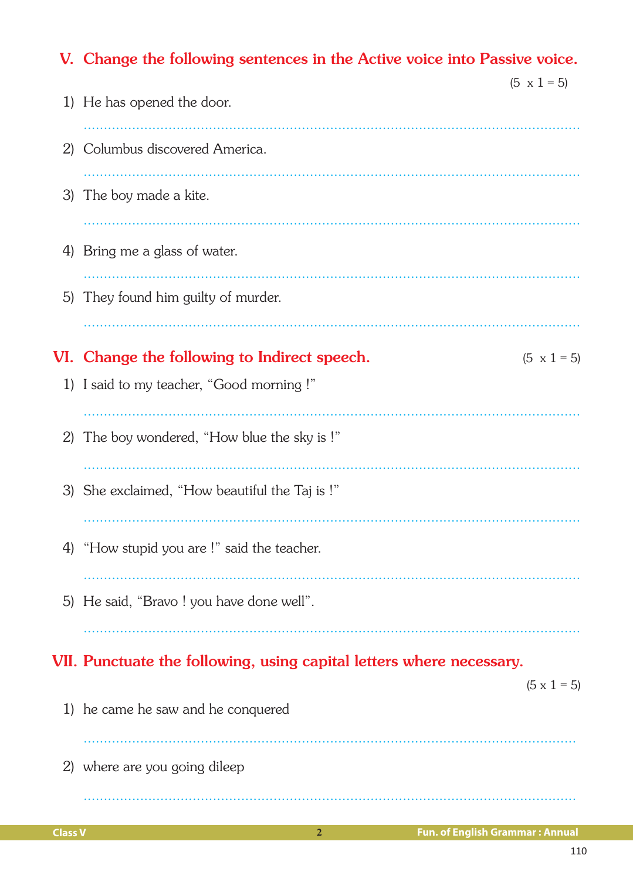|    | V. Change the following sentences in the Active voice into Passive voice. |                    |  |  |  |  |
|----|---------------------------------------------------------------------------|--------------------|--|--|--|--|
|    | 1) He has opened the door.                                                | $(5 \times 1 = 5)$ |  |  |  |  |
| 2) | Columbus discovered America.                                              |                    |  |  |  |  |
|    | 3) The boy made a kite.                                                   |                    |  |  |  |  |
| 4) | Bring me a glass of water.                                                |                    |  |  |  |  |
| 5) | They found him guilty of murder.                                          |                    |  |  |  |  |
|    |                                                                           |                    |  |  |  |  |
|    | VI. Change the following to Indirect speech.                              | $(5 \times 1 = 5)$ |  |  |  |  |
| 1) | I said to my teacher, "Good morning!"                                     |                    |  |  |  |  |
| 2) | The boy wondered, "How blue the sky is!"                                  |                    |  |  |  |  |
|    | 3) She exclaimed, "How beautiful the Taj is !"                            |                    |  |  |  |  |
|    | 4) "How stupid you are !" said the teacher.                               |                    |  |  |  |  |
|    | 5) He said, "Bravo ! you have done well".                                 |                    |  |  |  |  |
|    | VII. Punctuate the following, using capital letters where necessary.      |                    |  |  |  |  |
|    | 1) he came he saw and he conquered                                        | $(5 \times 1 = 5)$ |  |  |  |  |
|    | 2) where are you going dileep                                             |                    |  |  |  |  |
|    |                                                                           |                    |  |  |  |  |

 $\overline{2}$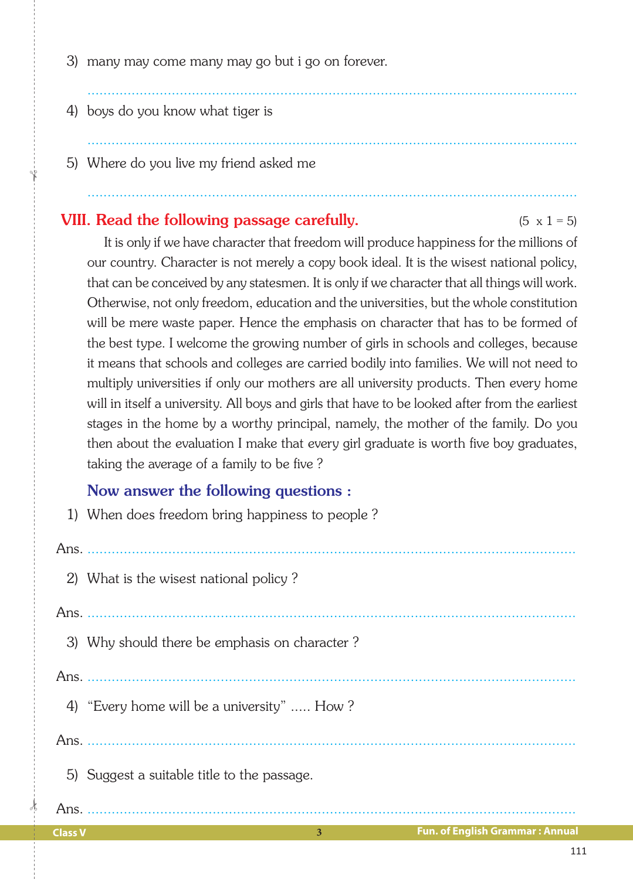- 3) many may come many may go but i go on forever.
- 4) boys do you know what tiger is
- 5) Where do you live my friend asked me

## **VIII.** Read the following passage carefully.  $(5 \times 1 = 5)$

 It is only if we have character that freedom will produce happiness for the millions of our country. Character is not merely a copy book ideal. It is the wisest national policy, that can be conceived by any statesmen. It is only if we character that all things will work. Otherwise, not only freedom, education and the universities, but the whole constitution will be mere waste paper. Hence the emphasis on character that has to be formed of the best type. I welcome the growing number of girls in schools and colleges, because it means that schools and colleges are carried bodily into families. We will not need to multiply universities if only our mothers are all university products. Then every home will in itself a university. All boys and girls that have to be looked after from the earliest stages in the home by a worthy principal, namely, the mother of the family. Do you then about the evaluation I make that every girl graduate is worth five boy graduates, taking the average of a family to be five ?

..........................................................................................................................

..........................................................................................................................

..........................................................................................................................

## Now answer the following questions :

1) When does freedom bring happiness to people ?

## Ans. ......................................................................................................................... 2) What is the wisest national policy ? Ans. ......................................................................................................................... 3) Why should there be emphasis on character ? Ans. .........................................................................................................................

- 4) "Every home will be a university" ..... How ?
- Ans. .........................................................................................................................
	- 5) Suggest a suitable title to the passage.

**Class V 3**

 $\frac{1}{2}$ 

✁

Ans. .........................................................................................................................